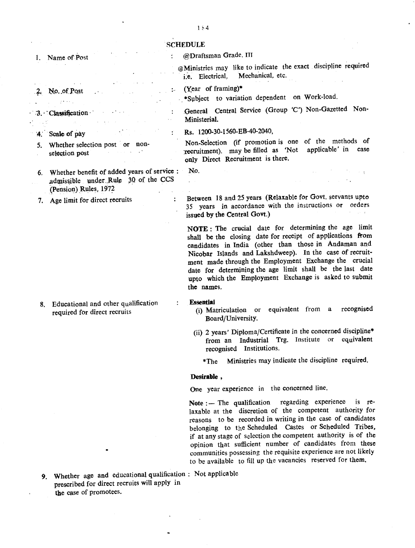## **SCHEDULE**

## @Draftsman Grade. III  $\ddot{\cdot}$ 1. Name of Post @Ministries may like to indicate the exact discipline required Mechanical, etc. (Year of framing)\*  $\ddot{z}$ No. of Post . \*Subject to variation dependent on Work-load. General Central Service (Group 'C') Non-Gazetted Non-3. Classification  $\ddot{\cdot}$ Ministerial.  $\sim$ Rs. 1200-30-1560-EB-40-2040, '4. Scale of pay 5. Whether selection post or non-Non-Selection (if promotion is one of the methods of selection post  $\sim 10^{11}$  m  $^{-1}$ recruitment), may be filled as 'Not applicable' in case only Direct Recruitment is there. No . 6. Whether benefit of added years of service :  $\sim$   $\pm$ admissible under Rule 30 of the CCS  $\ddot{\phantom{a}}$ (Pension) Rules, 1972 Between 18 and 25 years (Relaxable for Govt. servants upto 7. Age limit for direct recruits  $\cdot$ 35 years in accordance with the instructions or orders issued by the Central Govt.) **NOTE :** The crucial date for determining the age limit shall be the closing date for receipt of applications from candidates in India (other than those in Andaman and Nicobar Islands and Lakshdweep). In the case of recruitment made through the Employment Exchange the crucial date for determining the age limit shall be the last date upto which the Employment Exchange is asked to submit the names. **Essential** 8. Educational and other qualification  $\bullet$ (i) Matriculation or equivalent from a recognised required for direct recruits Board/University. (ii) 2 years' Diploma/Certificate in the concerned discipline\* from an Industrial Trg. Institute or equivalent recognised Institutions. \*The Ministries may indicate the discipline required. **Desirable,** One year experience in the concerned line. Note :- The qualification regarding experience is relaxable at the discretion of the competent authority for reasons to be recorded in writing in the case of candidates belonging to the Scheduled Castes or SCheduled Tribes, if at any stage of selection the competent authority is of the opinion that sufficient number of candidates from these communities possessing the requisite experience are not likely to be available to fill up the vacancies reserved for them,

9. Whether age and educational qualification: Not applicable prescribed for direct recruits will apply in the case of promotees.